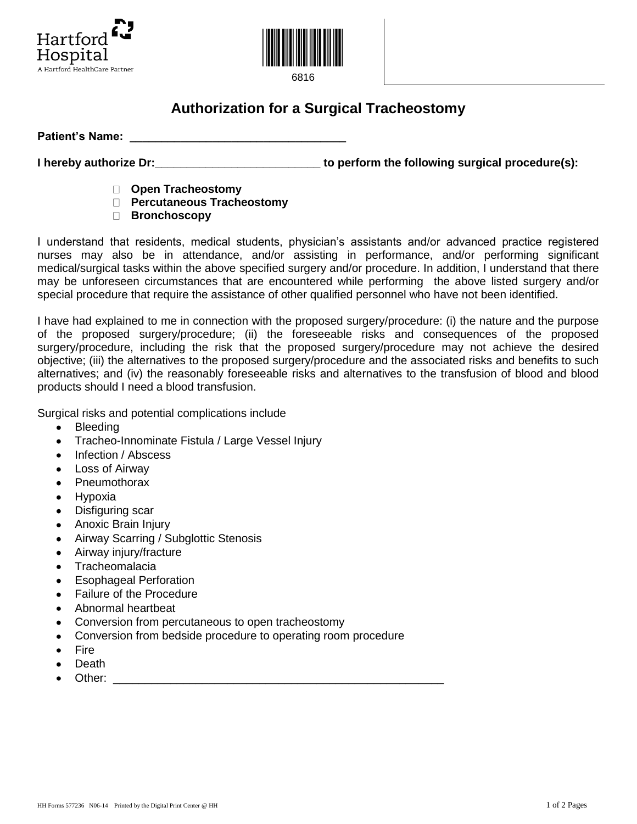



6816

## **Authorization for a Surgical Tracheostomy**

Patient's Name: **We are all that the example of the set of the set of the set of the set of the set of the set of the set of the set of the set of the set of the set of the set of the set of the set of the set of the set o** 

**I** hereby authorize Dr: *I* **i E** *n I* **<b>i** *serform the following surgical procedure(s): <i>i i i i i i i i i i i ii ii ii iii iiiiiiiiiiiiiiiiiiiiii* 

- **Open Tracheostomy**
- **Percutaneous Tracheostomy**
- **Bronchoscopy**

I understand that residents, medical students, physician's assistants and/or advanced practice registered nurses may also be in attendance, and/or assisting in performance, and/or performing significant medical/surgical tasks within the above specified surgery and/or procedure. In addition, I understand that there may be unforeseen circumstances that are encountered while performing the above listed surgery and/or special procedure that require the assistance of other qualified personnel who have not been identified.

I have had explained to me in connection with the proposed surgery/procedure: (i) the nature and the purpose of the proposed surgery/procedure; (ii) the foreseeable risks and consequences of the proposed surgery/procedure, including the risk that the proposed surgery/procedure may not achieve the desired objective; (iii) the alternatives to the proposed surgery/procedure and the associated risks and benefits to such alternatives; and (iv) the reasonably foreseeable risks and alternatives to the transfusion of blood and blood products should I need a blood transfusion.

Surgical risks and potential complications include

- $\bullet$ Bleeding
- Tracheo-Innominate Fistula / Large Vessel Injury
- Infection / Abscess
- Loss of Airway
- Pneumothorax
- Hypoxia
- Disfiguring scar
- Anoxic Brain Injury
- Airway Scarring / Subglottic Stenosis
- Airway injury/fracture
- **Tracheomalacia**
- Esophageal Perforation
- Failure of the Procedure
- Abnormal heartbeat
- Conversion from percutaneous to open tracheostomy
- Conversion from bedside procedure to operating room procedure
- Fire
- Death
- Other: \_\_\_\_\_\_\_\_\_\_\_\_\_\_\_\_\_\_\_\_\_\_\_\_\_\_\_\_\_\_\_\_\_\_\_\_\_\_\_\_\_\_\_\_\_\_\_\_\_\_\_\_